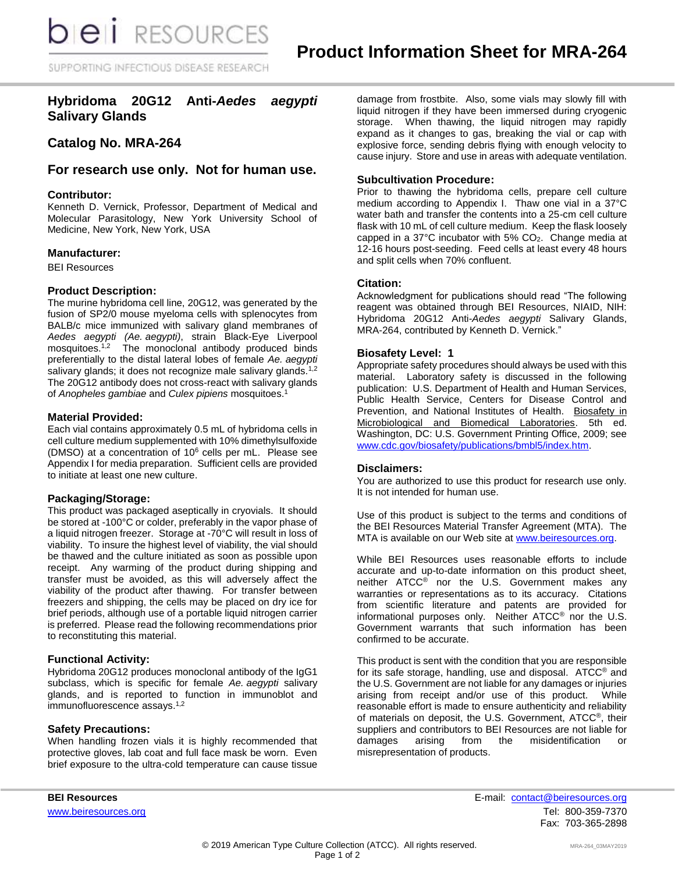SUPPORTING INFECTIOUS DISEASE RESEARCH

# **Hybridoma 20G12 Anti-***Aedes aegypti* **Salivary Glands**

# **Catalog No. MRA-264**

# **For research use only. Not for human use.**

### **Contributor:**

Kenneth D. Vernick, Professor, Department of Medical and Molecular Parasitology, New York University School of Medicine, New York, New York, USA

#### **Manufacturer:**

BEI Resources

#### **Product Description:**

The murine hybridoma cell line, 20G12, was generated by the fusion of SP2/0 mouse myeloma cells with splenocytes from BALB/c mice immunized with salivary gland membranes of *Aedes aegypti (Ae. aegypti)*, strain Black-Eye Liverpool mosquitoes. 1,2 The monoclonal antibody produced binds preferentially to the distal lateral lobes of female *Ae. aegypti* salivary glands; it does not recognize male salivary glands*.* 1,2 The 20G12 antibody does not cross-react with salivary glands of *Anopheles gambiae* and *Culex pipiens* mosquitoes.<sup>1</sup>

#### **Material Provided:**

Each vial contains approximately 0.5 mL of hybridoma cells in cell culture medium supplemented with 10% dimethylsulfoxide (DMSO) at a concentration of 10<sup>6</sup> cells per mL. Please see Appendix I for media preparation. Sufficient cells are provided to initiate at least one new culture.

### **Packaging/Storage:**

This product was packaged aseptically in cryovials. It should be stored at -100°C or colder, preferably in the vapor phase of a liquid nitrogen freezer. Storage at -70°C will result in loss of viability. To insure the highest level of viability, the vial should be thawed and the culture initiated as soon as possible upon receipt. Any warming of the product during shipping and transfer must be avoided, as this will adversely affect the viability of the product after thawing. For transfer between freezers and shipping, the cells may be placed on dry ice for brief periods, although use of a portable liquid nitrogen carrier is preferred. Please read the following recommendations prior to reconstituting this material.

### **Functional Activity:**

Hybridoma 20G12 produces monoclonal antibody of the IgG1 subclass, which is specific for female *Ae. aegypti* salivary glands, and is reported to function in immunoblot and immunofluorescence assays.<sup>1,2</sup>

### **Safety Precautions:**

When handling frozen vials it is highly recommended that protective gloves, lab coat and full face mask be worn. Even brief exposure to the ultra-cold temperature can cause tissue

damage from frostbite. Also, some vials may slowly fill with liquid nitrogen if they have been immersed during cryogenic storage. When thawing, the liquid nitrogen may rapidly expand as it changes to gas, breaking the vial or cap with explosive force, sending debris flying with enough velocity to cause injury. Store and use in areas with adequate ventilation.

## **Subcultivation Procedure:**

Prior to thawing the hybridoma cells, prepare cell culture medium according to Appendix I. Thaw one vial in a 37°C water bath and transfer the contents into a 25-cm cell culture flask with 10 mL of cell culture medium. Keep the flask loosely capped in a 37 $\degree$ C incubator with 5% CO<sub>2</sub>. Change media at 12-16 hours post-seeding. Feed cells at least every 48 hours and split cells when 70% confluent.

### **Citation:**

Acknowledgment for publications should read "The following reagent was obtained through BEI Resources, NIAID, NIH: Hybridoma 20G12 Anti-*Aedes aegypti* Salivary Glands, MRA-264, contributed by Kenneth D. Vernick."

### **Biosafety Level: 1**

Appropriate safety procedures should always be used with this material. Laboratory safety is discussed in the following publication: U.S. Department of Health and Human Services, Public Health Service, Centers for Disease Control and Prevention, and National Institutes of Health. Biosafety in Microbiological and Biomedical Laboratories. 5th ed. Washington, DC: U.S. Government Printing Office, 2009; see [www.cdc.gov/biosafety/publications/bmbl5/index.htm.](http://www.cdc.gov/biosafety/publications/bmbl5/index.htm)

### **Disclaimers:**

You are authorized to use this product for research use only. It is not intended for human use.

Use of this product is subject to the terms and conditions of the BEI Resources Material Transfer Agreement (MTA). The MTA is available on our Web site at [www.beiresources.org.](http://www.beiresources.org/)

While BEI Resources uses reasonable efforts to include accurate and up-to-date information on this product sheet, neither ATCC<sup>®</sup> nor the U.S. Government makes any warranties or representations as to its accuracy. Citations from scientific literature and patents are provided for informational purposes only. Neither ATCC® nor the U.S. Government warrants that such information has been confirmed to be accurate.

This product is sent with the condition that you are responsible for its safe storage, handling, use and disposal. ATCC® and the U.S. Government are not liable for any damages or injuries arising from receipt and/or use of this product. While reasonable effort is made to ensure authenticity and reliability of materials on deposit, the U.S. Government, ATCC®, their suppliers and contributors to BEI Resources are not liable for damages arising from the misidentification or misrepresentation of products.

**BEI Resources** E-mail: [contact@beiresources.org](mailto:contact@beiresources.org) [www.beiresources.org](http://www.beiresources.org/)Tel: 800-359-7370 Fax: 703-365-2898